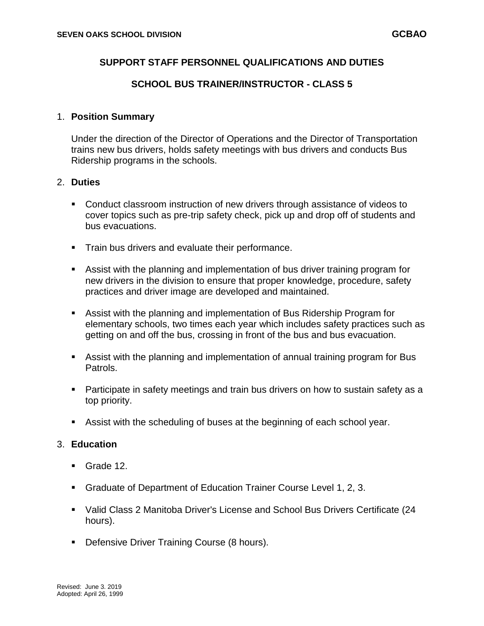### **SUPPORT STAFF PERSONNEL QUALIFICATIONS AND DUTIES**

### **SCHOOL BUS TRAINER/INSTRUCTOR - CLASS 5**

#### 1. **Position Summary**

Under the direction of the Director of Operations and the Director of Transportation trains new bus drivers, holds safety meetings with bus drivers and conducts Bus Ridership programs in the schools.

#### 2. **Duties**

- Conduct classroom instruction of new drivers through assistance of videos to cover topics such as pre-trip safety check, pick up and drop off of students and bus evacuations.
- **Train bus drivers and evaluate their performance.**
- Assist with the planning and implementation of bus driver training program for new drivers in the division to ensure that proper knowledge, procedure, safety practices and driver image are developed and maintained.
- Assist with the planning and implementation of Bus Ridership Program for elementary schools, two times each year which includes safety practices such as getting on and off the bus, crossing in front of the bus and bus evacuation.
- Assist with the planning and implementation of annual training program for Bus Patrols.
- Participate in safety meetings and train bus drivers on how to sustain safety as a top priority.
- Assist with the scheduling of buses at the beginning of each school year.

#### 3. **Education**

- Grade 12.
- Graduate of Department of Education Trainer Course Level 1, 2, 3.
- Valid Class 2 Manitoba Driver's License and School Bus Drivers Certificate (24 hours).
- **Defensive Driver Training Course (8 hours).**